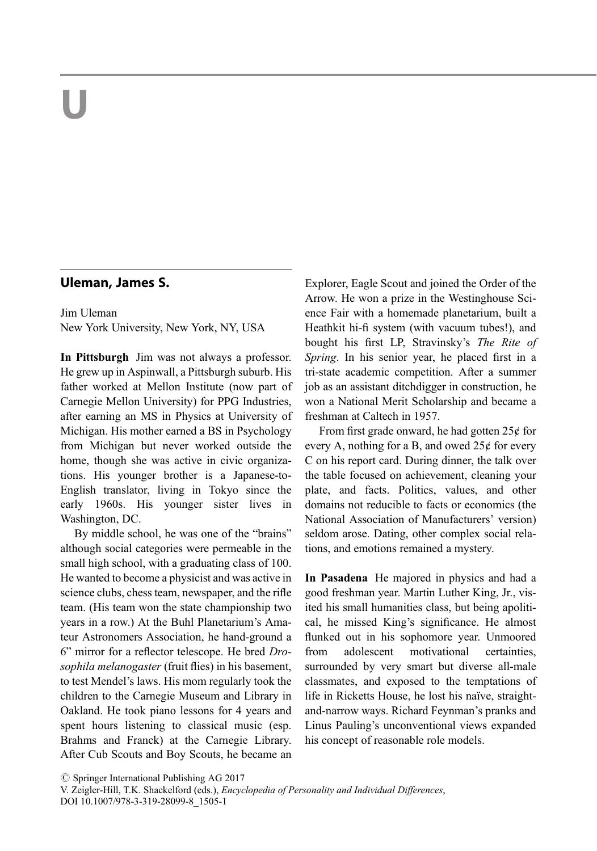## U

## Uleman, James S.

Jim Uleman New York University, New York, NY, USA

In Pittsburgh Jim was not always a professor. He grew up in Aspinwall, a Pittsburgh suburb. His father worked at Mellon Institute (now part of Carnegie Mellon University) for PPG Industries, after earning an MS in Physics at University of Michigan. His mother earned a BS in Psychology from Michigan but never worked outside the home, though she was active in civic organizations. His younger brother is a Japanese-to-English translator, living in Tokyo since the early 1960s. His younger sister lives in Washington, DC.

By middle school, he was one of the "brains" although social categories were permeable in the small high school, with a graduating class of 100. He wanted to become a physicist and was active in science clubs, chess team, newspaper, and the rifle team. (His team won the state championship two years in a row.) At the Buhl Planetarium's Amateur Astronomers Association, he hand-ground a 6" mirror for a reflector telescope. He bred Drosophila melanogaster (fruit flies) in his basement, to test Mendel's laws. His mom regularly took the children to the Carnegie Museum and Library in Oakland. He took piano lessons for 4 years and spent hours listening to classical music (esp. Brahms and Franck) at the Carnegie Library. After Cub Scouts and Boy Scouts, he became an

Explorer, Eagle Scout and joined the Order of the Arrow. He won a prize in the Westinghouse Science Fair with a homemade planetarium, built a Heathkit hi-fi system (with vacuum tubes!), and bought his first LP, Stravinsky's The Rite of Spring. In his senior year, he placed first in a tri-state academic competition. After a summer job as an assistant ditchdigger in construction, he won a National Merit Scholarship and became a freshman at Caltech in 1957.

From first grade onward, he had gotten  $25¢$  for every A, nothing for a B, and owed  $25¢$  for every C on his report card. During dinner, the talk over the table focused on achievement, cleaning your plate, and facts. Politics, values, and other domains not reducible to facts or economics (the National Association of Manufacturers' version) seldom arose. Dating, other complex social relations, and emotions remained a mystery.

In Pasadena He majored in physics and had a good freshman year. Martin Luther King, Jr., visited his small humanities class, but being apolitical, he missed King's significance. He almost flunked out in his sophomore year. Unmoored from adolescent motivational certainties, surrounded by very smart but diverse all-male classmates, and exposed to the temptations of life in Ricketts House, he lost his naïve, straightand-narrow ways. Richard Feynman's pranks and Linus Pauling's unconventional views expanded his concept of reasonable role models.

 $\oslash$  Springer International Publishing AG 2017

V. Zeigler-Hill, T.K. Shackelford (eds.), Encyclopedia of Personality and Individual Differences, DOI 10.1007/978-3-319-28099-8\_1505-1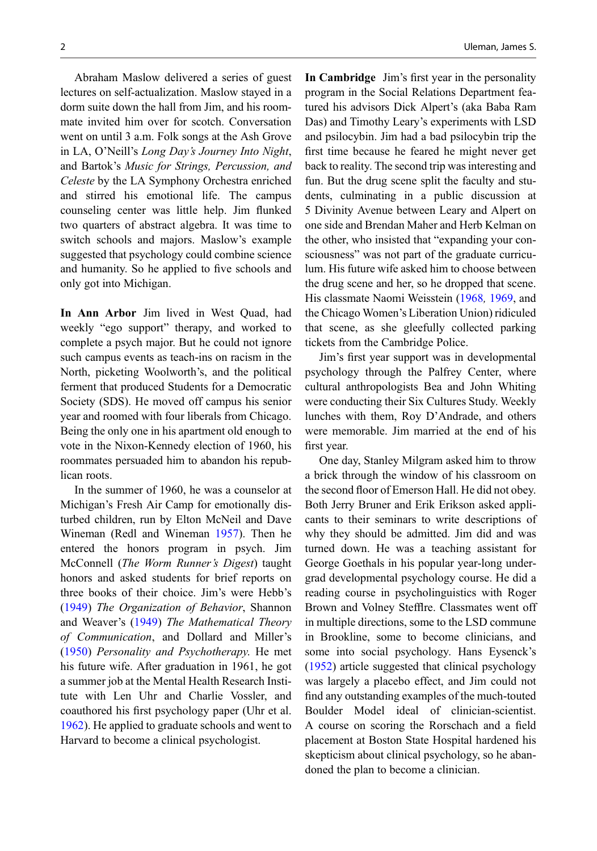Abraham Maslow delivered a series of guest lectures on self-actualization. Maslow stayed in a dorm suite down the hall from Jim, and his roommate invited him over for scotch. Conversation went on until 3 a.m. Folk songs at the Ash Grove in LA, O'Neill's Long Day's Journey Into Night, and Bartok's Music for Strings, Percussion, and Celeste by the LA Symphony Orchestra enriched and stirred his emotional life. The campus counseling center was little help. Jim flunked two quarters of abstract algebra. It was time to switch schools and majors. Maslow's example suggested that psychology could combine science and humanity. So he applied to five schools and only got into Michigan.

In Ann Arbor Jim lived in West Quad, had weekly "ego support" therapy, and worked to complete a psych major. But he could not ignore such campus events as teach-ins on racism in the North, picketing Woolworth's, and the political ferment that produced Students for a Democratic Society (SDS). He moved off campus his senior year and roomed with four liberals from Chicago. Being the only one in his apartment old enough to vote in the Nixon-Kennedy election of 1960, his roommates persuaded him to abandon his republican roots.

In the summer of 1960, he was a counselor at Michigan's Fresh Air Camp for emotionally disturbed children, run by Elton McNeil and Dave Wineman (Redl and Wineman [1957\)](#page-6-0). Then he entered the honors program in psych. Jim McConnell (The Worm Runner's Digest) taught honors and asked students for brief reports on three books of their choice. Jim's were Hebb's [\(1949](#page-6-0)) The Organization of Behavior, Shannon and Weaver's [\(1949](#page-6-0)) The Mathematical Theory of Communication, and Dollard and Miller's [\(1950](#page-5-0)) Personality and Psychotherapy. He met his future wife. After graduation in 1961, he got a summer job at the Mental Health Research Institute with Len Uhr and Charlie Vossler, and coauthored his first psychology paper (Uhr et al. [1962\)](#page-6-0). He applied to graduate schools and went to Harvard to become a clinical psychologist.

In Cambridge Jim's first year in the personality program in the Social Relations Department featured his advisors Dick Alpert's (aka Baba Ram Das) and Timothy Leary's experiments with LSD and psilocybin. Jim had a bad psilocybin trip the first time because he feared he might never get back to reality. The second trip was interesting and fun. But the drug scene split the faculty and students, culminating in a public discussion at 5 Divinity Avenue between Leary and Alpert on one side and Brendan Maher and Herb Kelman on the other, who insisted that "expanding your consciousness" was not part of the graduate curriculum. His future wife asked him to choose between the drug scene and her, so he dropped that scene. His classmate Naomi Weisstein ([1968](#page-7-0), [1969](#page-7-0), and the Chicago Women's Liberation Union) ridiculed that scene, as she gleefully collected parking tickets from the Cambridge Police.

Jim's first year support was in developmental psychology through the Palfrey Center, where cultural anthropologists Bea and John Whiting were conducting their Six Cultures Study. Weekly lunches with them, Roy D'Andrade, and others were memorable. Jim married at the end of his first year.

One day, Stanley Milgram asked him to throw a brick through the window of his classroom on the second floor of Emerson Hall. He did not obey. Both Jerry Bruner and Erik Erikson asked applicants to their seminars to write descriptions of why they should be admitted. Jim did and was turned down. He was a teaching assistant for George Goethals in his popular year-long undergrad developmental psychology course. He did a reading course in psycholinguistics with Roger Brown and Volney Stefflre. Classmates went off in multiple directions, some to the LSD commune in Brookline, some to become clinicians, and some into social psychology. Hans Eysenck's [\(1952](#page-6-0)) article suggested that clinical psychology was largely a placebo effect, and Jim could not find any outstanding examples of the much-touted Boulder Model ideal of clinician-scientist. A course on scoring the Rorschach and a field placement at Boston State Hospital hardened his skepticism about clinical psychology, so he abandoned the plan to become a clinician.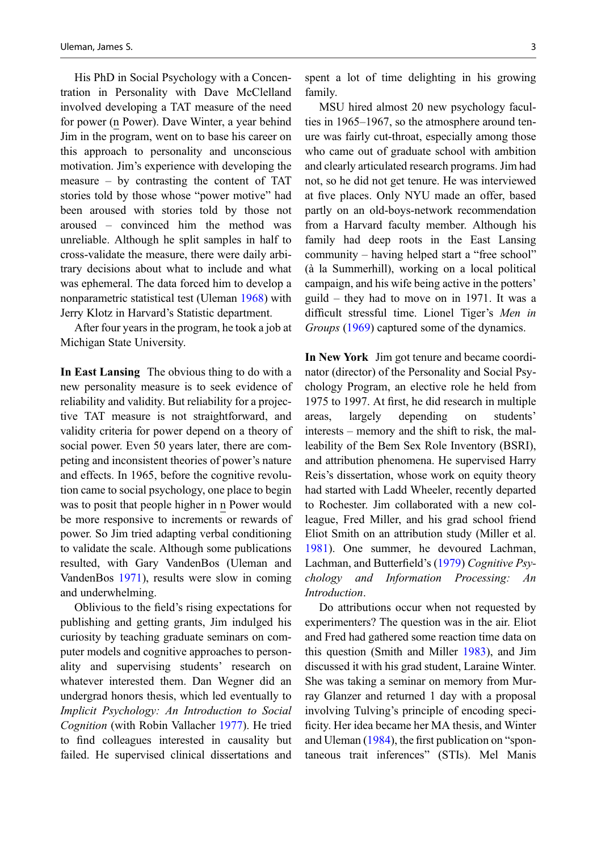His PhD in Social Psychology with a Concentration in Personality with Dave McClelland involved developing a TAT measure of the need for power (n Power). Dave Winter, a year behind Jim in the program, went on to base his career on this approach to personality and unconscious motivation. Jim's experience with developing the measure – by contrasting the content of TAT stories told by those whose "power motive" had been aroused with stories told by those not aroused – convinced him the method was unreliable. Although he split samples in half to cross-validate the measure, there were daily arbitrary decisions about what to include and what was ephemeral. The data forced him to develop a nonparametric statistical test (Uleman [1968](#page-6-0)) with Jerry Klotz in Harvard's Statistic department.

After four years in the program, he took a job at Michigan State University.

In East Lansing The obvious thing to do with a new personality measure is to seek evidence of reliability and validity. But reliability for a projective TAT measure is not straightforward, and validity criteria for power depend on a theory of social power. Even 50 years later, there are competing and inconsistent theories of power's nature and effects. In 1965, before the cognitive revolution came to social psychology, one place to begin was to posit that people higher in n Power would be more responsive to increments or rewards of power. So Jim tried adapting verbal conditioning to validate the scale. Although some publications resulted, with Gary VandenBos (Uleman and VandenBos [1971](#page-7-0)), results were slow in coming and underwhelming.

Oblivious to the field's rising expectations for publishing and getting grants, Jim indulged his curiosity by teaching graduate seminars on computer models and cognitive approaches to personality and supervising students' research on whatever interested them. Dan Wegner did an undergrad honors thesis, which led eventually to Implicit Psychology: An Introduction to Social Cognition (with Robin Vallacher [1977](#page-7-0)). He tried to find colleagues interested in causality but failed. He supervised clinical dissertations and spent a lot of time delighting in his growing family.

MSU hired almost 20 new psychology faculties in 1965–1967, so the atmosphere around tenure was fairly cut-throat, especially among those who came out of graduate school with ambition and clearly articulated research programs. Jim had not, so he did not get tenure. He was interviewed at five places. Only NYU made an offer, based partly on an old-boys-network recommendation from a Harvard faculty member. Although his family had deep roots in the East Lansing community – having helped start a "free school" (à la Summerhill), working on a local political campaign, and his wife being active in the potters' guild – they had to move on in 1971. It was a difficult stressful time. Lionel Tiger's Men in Groups [\(1969](#page-6-0)) captured some of the dynamics.

In New York Jim got tenure and became coordinator (director) of the Personality and Social Psychology Program, an elective role he held from 1975 to 1997. At first, he did research in multiple areas, largely depending on students' interests – memory and the shift to risk, the malleability of the Bem Sex Role Inventory (BSRI), and attribution phenomena. He supervised Harry Reis's dissertation, whose work on equity theory had started with Ladd Wheeler, recently departed to Rochester. Jim collaborated with a new colleague, Fred Miller, and his grad school friend Eliot Smith on an attribution study (Miller et al. [1981\)](#page-6-0). One summer, he devoured Lachman, Lachman, and Butterfield's [\(1979](#page-6-0)) Cognitive Psychology and Information Processing: Introduction.

Do attributions occur when not requested by experimenters? The question was in the air. Eliot and Fred had gathered some reaction time data on this question (Smith and Miller [1983](#page-6-0)), and Jim discussed it with his grad student, Laraine Winter. She was taking a seminar on memory from Murray Glanzer and returned 1 day with a proposal involving Tulving's principle of encoding specificity. Her idea became her MA thesis, and Winter and Uleman [\(1984](#page-7-0)), the first publication on "spontaneous trait inferences" (STIs). Mel Manis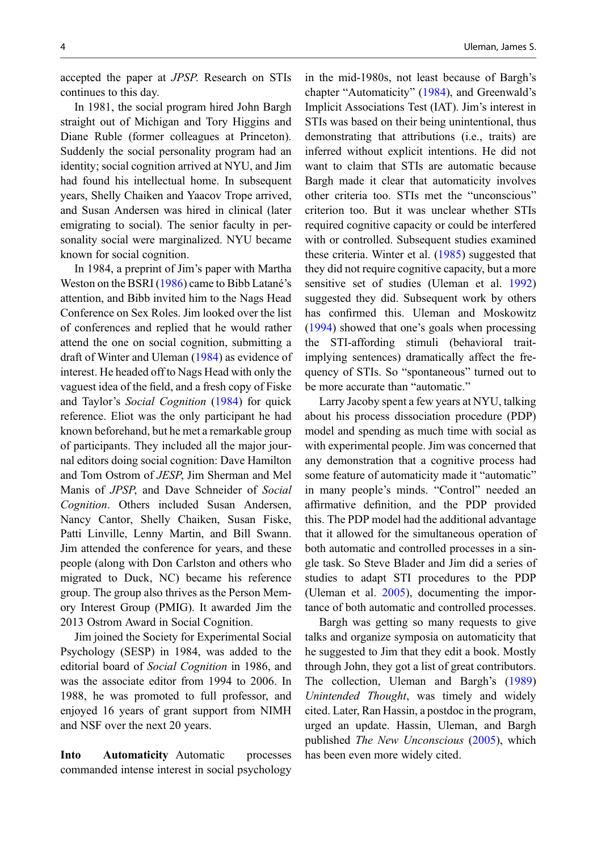accepted the paper at JPSP. Research on STIs continues to this day.

In 1981, the social program hired John Bargh straight out of Michigan and Tory Higgins and Diane Ruble (former colleagues at Princeton). Suddenly the social personality program had an identity; social cognition arrived at NYU, and Jim had found his intellectual home. In subsequent years, Shelly Chaiken and Yaacov Trope arrived, and Susan Andersen was hired in clinical (later emigrating to social). The senior faculty in personality social were marginalized. NYU became known for social cognition.

In 1984, a preprint of Jim's paper with Martha Weston on the BSRI [\(1986\)](#page-7-0) came to Bibb Latané's attention, and Bibb invited him to the Nags Head Conference on Sex Roles. Jim looked over the list of conferences and replied that he would rather attend the one on social cognition, submitting a draft of Winter and Uleman [\(1984\)](#page-7-0) as evidence of interest. He headed off to Nags Head with only the vaguest idea of the field, and a fresh copy of Fiske and Taylor's Social Cognition ([1984\)](#page-6-0) for quick reference. Eliot was the only participant he had known beforehand, but he met a remarkable group of participants. They included all the major journal editors doing social cognition: Dave Hamilton and Tom Ostrom of JESP, Jim Sherman and Mel Manis of JPSP, and Dave Schneider of Social Cognition. Others included Susan Andersen, Nancy Cantor, Shelly Chaiken, Susan Fiske, Patti Linville, Lenny Martin, and Bill Swann. Jim attended the conference for years, and these people (along with Don Carlston and others who migrated to Duck, NC) became his reference group. The group also thrives as the Person Memory Interest Group (PMIG). It awarded Jim the 2013 Ostrom Award in Social Cognition.

Jim joined the Society for Experimental Social Psychology (SESP) in 1984, was added to the editorial board of Social Cognition in 1986, and was the associate editor from 1994 to 2006. In 1988, he was promoted to full professor, and enjoyed 16 years of grant support from NIMH and NSF over the next 20 years.

Into Automaticity Automatic processes commanded intense interest in social psychology

in the mid-1980s, not least because of Bargh's chapter "Automaticity" [\(1984](#page-5-0)), and Greenwald's Implicit Associations Test (IAT). Jim's interest in STIs was based on their being unintentional, thus demonstrating that attributions (i.e., traits) are inferred without explicit intentions. He did not want to claim that STIs are automatic because Bargh made it clear that automaticity involves other criteria too. STIs met the "unconscious" criterion too. But it was unclear whether STIs required cognitive capacity or could be interfered with or controlled. Subsequent studies examined these criteria. Winter et al. [\(1985](#page-7-0)) suggested that they did not require cognitive capacity, but a more sensitive set of studies (Uleman et al. [1992](#page-7-0)) suggested they did. Subsequent work by others has confirmed this. Uleman and Moskowitz [\(1994](#page-7-0)) showed that one's goals when processing the STI-affording stimuli (behavioral traitimplying sentences) dramatically affect the frequency of STIs. So "spontaneous" turned out to be more accurate than "automatic."

Larry Jacoby spent a few years at NYU, talking about his process dissociation procedure (PDP) model and spending as much time with social as with experimental people. Jim was concerned that any demonstration that a cognitive process had some feature of automaticity made it "automatic" in many people's minds. "Control" needed an affirmative definition, and the PDP provided this. The PDP model had the additional advantage that it allowed for the simultaneous operation of both automatic and controlled processes in a single task. So Steve Blader and Jim did a series of studies to adapt STI procedures to the PDP (Uleman et al. [2005](#page-7-0)), documenting the importance of both automatic and controlled processes.

Bargh was getting so many requests to give talks and organize symposia on automaticity that he suggested to Jim that they edit a book. Mostly through John, they got a list of great contributors. The collection, Uleman and Bargh's [\(1989](#page-7-0)) Unintended Thought, was timely and widely cited. Later, Ran Hassin, a postdoc in the program, urged an update. Hassin, Uleman, and Bargh published The New Unconscious ([2005\)](#page-6-0), which has been even more widely cited.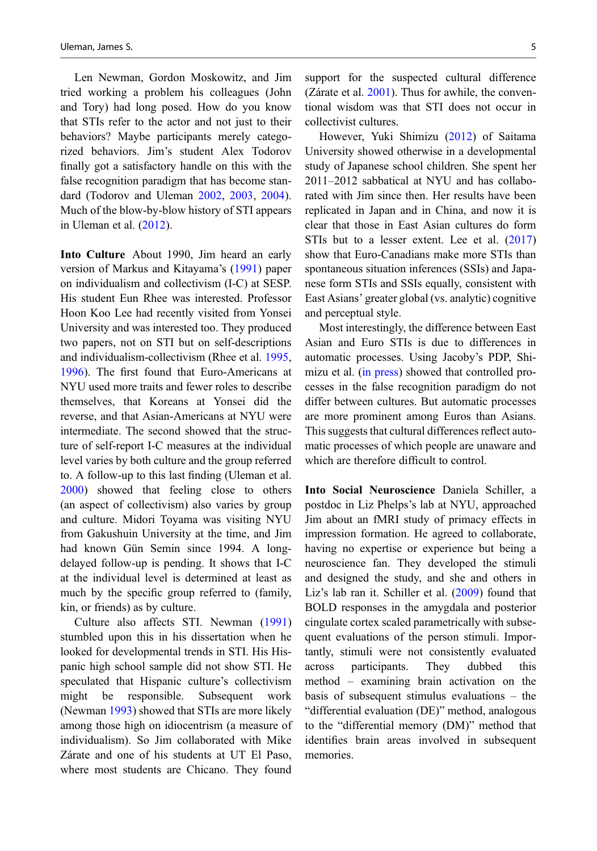Len Newman, Gordon Moskowitz, and Jim tried working a problem his colleagues (John and Tory) had long posed. How do you know that STIs refer to the actor and not just to their behaviors? Maybe participants merely categorized behaviors. Jim's student Alex Todorov finally got a satisfactory handle on this with the false recognition paradigm that has become standard (Todorov and Uleman [2002,](#page-6-0) [2003](#page-6-0), [2004\)](#page-6-0). Much of the blow-by-blow history of STI appears in Uleman et al. [\(2012](#page-7-0)).

Into Culture About 1990, Jim heard an early version of Markus and Kitayama's [\(1991](#page-6-0)) paper on individualism and collectivism (I-C) at SESP. His student Eun Rhee was interested. Professor Hoon Koo Lee had recently visited from Yonsei University and was interested too. They produced two papers, not on STI but on self-descriptions and individualism-collectivism (Rhee et al. [1995](#page-6-0), [1996\)](#page-6-0). The first found that Euro-Americans at NYU used more traits and fewer roles to describe themselves, that Koreans at Yonsei did the reverse, and that Asian-Americans at NYU were intermediate. The second showed that the structure of self-report I-C measures at the individual level varies by both culture and the group referred to. A follow-up to this last finding (Uleman et al. [2000\)](#page-7-0) showed that feeling close to others (an aspect of collectivism) also varies by group and culture. Midori Toyama was visiting NYU from Gakushuin University at the time, and Jim had known Gün Semin since 1994. A longdelayed follow-up is pending. It shows that I-C at the individual level is determined at least as much by the specific group referred to (family, kin, or friends) as by culture.

Culture also affects STI. Newman [\(1991](#page-6-0)) stumbled upon this in his dissertation when he looked for developmental trends in STI. His Hispanic high school sample did not show STI. He speculated that Hispanic culture's collectivism might be responsible. Subsequent work (Newman [1993](#page-6-0)) showed that STIs are more likely among those high on idiocentrism (a measure of individualism). So Jim collaborated with Mike Zárate and one of his students at UT El Paso, where most students are Chicano. They found

support for the suspected cultural difference (Zárate et al. [2001\)](#page-7-0). Thus for awhile, the conventional wisdom was that STI does not occur in collectivist cultures.

However, Yuki Shimizu ([2012\)](#page-6-0) of Saitama University showed otherwise in a developmental study of Japanese school children. She spent her 2011–2012 sabbatical at NYU and has collaborated with Jim since then. Her results have been replicated in Japan and in China, and now it is clear that those in East Asian cultures do form STIs but to a lesser extent. Lee et al. [\(2017](#page-6-0)) show that Euro-Canadians make more STIs than spontaneous situation inferences (SSIs) and Japanese form STIs and SSIs equally, consistent with East Asians' greater global (vs. analytic) cognitive and perceptual style.

Most interestingly, the difference between East Asian and Euro STIs is due to differences in automatic processes. Using Jacoby's PDP, Shi-mizu et al. [\(in press](#page-6-0)) showed that controlled processes in the false recognition paradigm do not differ between cultures. But automatic processes are more prominent among Euros than Asians. This suggests that cultural differences reflect automatic processes of which people are unaware and which are therefore difficult to control.

Into Social Neuroscience Daniela Schiller, a postdoc in Liz Phelps's lab at NYU, approached Jim about an fMRI study of primacy effects in impression formation. He agreed to collaborate, having no expertise or experience but being a neuroscience fan. They developed the stimuli and designed the study, and she and others in Liz's lab ran it. Schiller et al. [\(2009](#page-6-0)) found that BOLD responses in the amygdala and posterior cingulate cortex scaled parametrically with subsequent evaluations of the person stimuli. Importantly, stimuli were not consistently evaluated across participants. They dubbed this method – examining brain activation on the basis of subsequent stimulus evaluations – the "differential evaluation (DE)" method, analogous to the "differential memory (DM)" method that identifies brain areas involved in subsequent memories.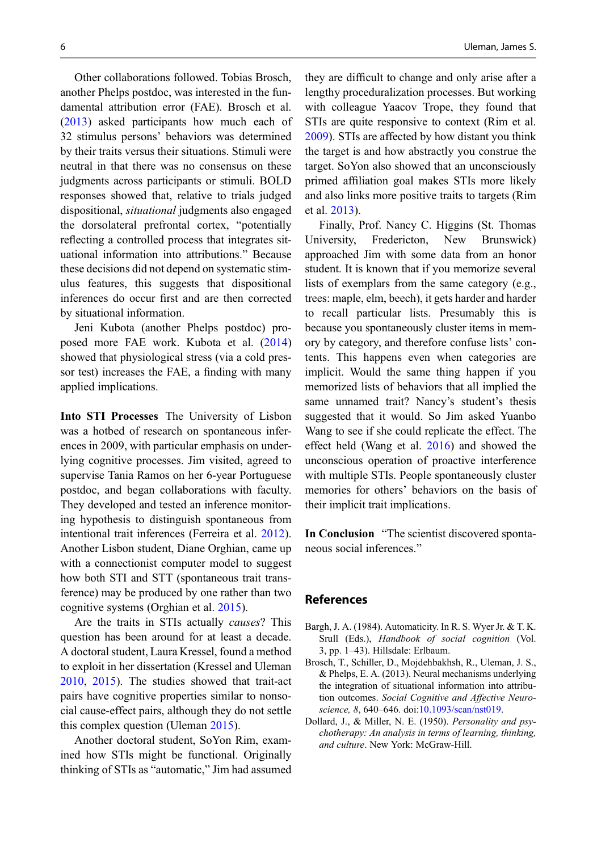<span id="page-5-0"></span>Other collaborations followed. Tobias Brosch, another Phelps postdoc, was interested in the fundamental attribution error (FAE). Brosch et al. (2013) asked participants how much each of 32 stimulus persons' behaviors was determined by their traits versus their situations. Stimuli were neutral in that there was no consensus on these judgments across participants or stimuli. BOLD responses showed that, relative to trials judged dispositional, situational judgments also engaged the dorsolateral prefrontal cortex, "potentially reflecting a controlled process that integrates situational information into attributions." Because these decisions did not depend on systematic stimulus features, this suggests that dispositional inferences do occur first and are then corrected by situational information.

Jeni Kubota (another Phelps postdoc) proposed more FAE work. Kubota et al. [\(2014](#page-6-0)) showed that physiological stress (via a cold pressor test) increases the FAE, a finding with many applied implications.

Into STI Processes The University of Lisbon was a hotbed of research on spontaneous inferences in 2009, with particular emphasis on underlying cognitive processes. Jim visited, agreed to supervise Tania Ramos on her 6-year Portuguese postdoc, and began collaborations with faculty. They developed and tested an inference monitoring hypothesis to distinguish spontaneous from intentional trait inferences (Ferreira et al. [2012\)](#page-6-0). Another Lisbon student, Diane Orghian, came up with a connectionist computer model to suggest how both STI and STT (spontaneous trait transference) may be produced by one rather than two cognitive systems (Orghian et al. [2015](#page-6-0)).

Are the traits in STIs actually causes? This question has been around for at least a decade. A doctoral student, Laura Kressel, found a method to exploit in her dissertation (Kressel and Uleman [2010,](#page-6-0) [2015](#page-6-0)). The studies showed that trait-act pairs have cognitive properties similar to nonsocial cause-effect pairs, although they do not settle this complex question (Uleman [2015\)](#page-6-0).

Another doctoral student, SoYon Rim, examined how STIs might be functional. Originally thinking of STIs as "automatic," Jim had assumed they are difficult to change and only arise after a lengthy proceduralization processes. But working with colleague Yaacov Trope, they found that STIs are quite responsive to context (Rim et al. [2009\)](#page-6-0). STIs are affected by how distant you think the target is and how abstractly you construe the target. SoYon also showed that an unconsciously primed affiliation goal makes STIs more likely and also links more positive traits to targets (Rim et al. [2013\)](#page-6-0).

Finally, Prof. Nancy C. Higgins (St. Thomas University, Fredericton, New Brunswick) approached Jim with some data from an honor student. It is known that if you memorize several lists of exemplars from the same category (e.g., trees: maple, elm, beech), it gets harder and harder to recall particular lists. Presumably this is because you spontaneously cluster items in memory by category, and therefore confuse lists' contents. This happens even when categories are implicit. Would the same thing happen if you memorized lists of behaviors that all implied the same unnamed trait? Nancy's student's thesis suggested that it would. So Jim asked Yuanbo Wang to see if she could replicate the effect. The effect held (Wang et al. [2016\)](#page-7-0) and showed the unconscious operation of proactive interference with multiple STIs. People spontaneously cluster memories for others' behaviors on the basis of their implicit trait implications.

In Conclusion "The scientist discovered spontaneous social inferences."

## References

- Bargh, J. A. (1984). Automaticity. In R. S. Wyer Jr. & T. K. Srull (Eds.), Handbook of social cognition (Vol. 3, pp. 1–43). Hillsdale: Erlbaum.
- Brosch, T., Schiller, D., Mojdehbakhsh, R., Uleman, J. S., & Phelps, E. A. (2013). Neural mechanisms underlying the integration of situational information into attribution outcomes. Social Cognitive and Affective Neuro-science, 8, 640–646. doi[:10.1093/scan/nst019.](http://dx.doi.org/10.1093/scan/nst019)
- Dollard, J., & Miller, N. E. (1950). Personality and psychotherapy: An analysis in terms of learning, thinking, and culture. New York: McGraw-Hill.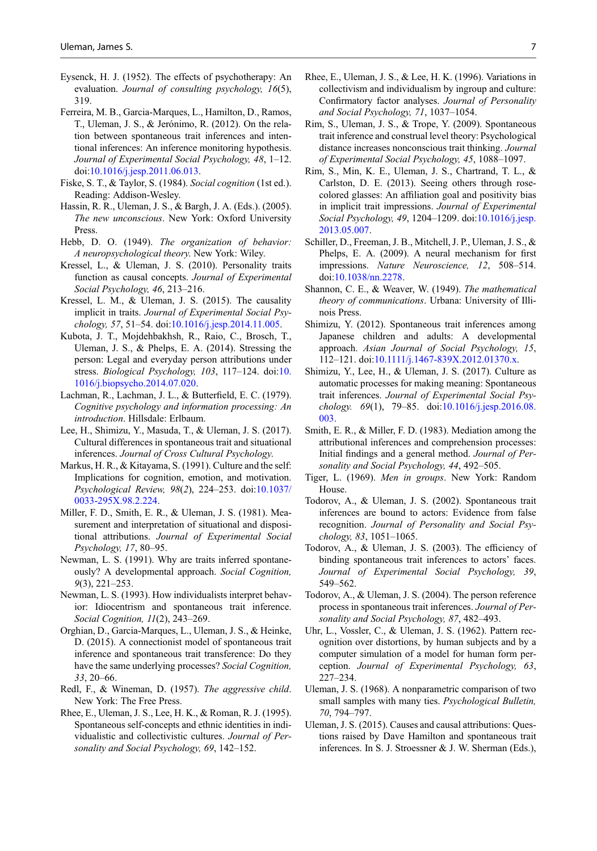- <span id="page-6-0"></span>Eysenck, H. J. (1952). The effects of psychotherapy: An evaluation. Journal of consulting psychology, 16(5), 319.
- Ferreira, M. B., Garcia-Marques, L., Hamilton, D., Ramos, T., Uleman, J. S., & Jerónimo, R. (2012). On the relation between spontaneous trait inferences and intentional inferences: An inference monitoring hypothesis. Journal of Experimental Social Psychology, 48, 1–12. doi[:10.1016/j.jesp.2011.06.013.](http://dx.doi.org/10.1016/j.jesp.2011.06.013)
- Fiske, S. T., & Taylor, S. (1984). Social cognition (1st ed.). Reading: Addison-Wesley.
- Hassin, R. R., Uleman, J. S., & Bargh, J. A. (Eds.). (2005). The new unconscious. New York: Oxford University Press.
- Hebb, D. O. (1949). The organization of behavior: A neuropsychological theory. New York: Wiley.
- Kressel, L., & Uleman, J. S. (2010). Personality traits function as causal concepts. Journal of Experimental Social Psychology, 46, 213–216.
- Kressel, L. M., & Uleman, J. S. (2015). The causality implicit in traits. Journal of Experimental Social Psychology, 57, 51–54. doi:[10.1016/j.jesp.2014.11.005.](http://dx.doi.org/10.1016/j.jesp.2014.11.005)
- Kubota, J. T., Mojdehbakhsh, R., Raio, C., Brosch, T., Uleman, J. S., & Phelps, E. A. (2014). Stressing the person: Legal and everyday person attributions under stress. Biological Psychology, 103, 117–124. doi[:10.](http://dx.doi.org/10.1016/j.biopsycho.2014.07.020) [1016/j.biopsycho.2014.07.020.](http://dx.doi.org/10.1016/j.biopsycho.2014.07.020)
- Lachman, R., Lachman, J. L., & Butterfield, E. C. (1979). Cognitive psychology and information processing: An introduction. Hillsdale: Erlbaum.
- Lee, H., Shimizu, Y., Masuda, T., & Uleman, J. S. (2017). Cultural differences in spontaneous trait and situational inferences. Journal of Cross Cultural Psychology.
- Markus, H. R., & Kitayama, S. (1991). Culture and the self: Implications for cognition, emotion, and motivation. Psychological Review, 98(2), 224–253. doi:[10.1037/](http://dx.doi.org/10.1037/0033-295X.98.2.224) [0033-295X.98.2.224](http://dx.doi.org/10.1037/0033-295X.98.2.224).
- Miller, F. D., Smith, E. R., & Uleman, J. S. (1981). Measurement and interpretation of situational and dispositional attributions. Journal of Experimental Social Psychology, 17, 80–95.
- Newman, L. S. (1991). Why are traits inferred spontaneously? A developmental approach. Social Cognition, 9(3), 221–253.
- Newman, L. S. (1993). How individualists interpret behavior: Idiocentrism and spontaneous trait inference. Social Cognition, 11(2), 243–269.
- Orghian, D., Garcia-Marques, L., Uleman, J. S., & Heinke, D. (2015). A connectionist model of spontaneous trait inference and spontaneous trait transference: Do they have the same underlying processes? Social Cognition, 33, 20–66.
- Redl, F., & Wineman, D. (1957). The aggressive child. New York: The Free Press.
- Rhee, E., Uleman, J. S., Lee, H. K., & Roman, R. J. (1995). Spontaneous self-concepts and ethnic identities in individualistic and collectivistic cultures. Journal of Personality and Social Psychology, 69, 142–152.
- Rhee, E., Uleman, J. S., & Lee, H. K. (1996). Variations in collectivism and individualism by ingroup and culture: Confirmatory factor analyses. Journal of Personality and Social Psychology, 71, 1037–1054.
- Rim, S., Uleman, J. S., & Trope, Y. (2009). Spontaneous trait inference and construal level theory: Psychological distance increases nonconscious trait thinking. Journal of Experimental Social Psychology, 45, 1088–1097.
- Rim, S., Min, K. E., Uleman, J. S., Chartrand, T. L., & Carlston, D. E. (2013). Seeing others through rosecolored glasses: An affiliation goal and positivity bias in implicit trait impressions. Journal of Experimental Social Psychology, 49, 1204–1209. doi:[10.1016/j.jesp.](http://dx.doi.org/10.1016/j.jesp.2013.05.007) [2013.05.007](http://dx.doi.org/10.1016/j.jesp.2013.05.007).
- Schiller, D., Freeman, J. B., Mitchell, J. P., Uleman, J. S., & Phelps, E. A. (2009). A neural mechanism for first impressions. Nature Neuroscience, 12, 508–514. doi:[10.1038/nn.2278](http://dx.doi.org/10.1038/nn.2278).
- Shannon, C. E., & Weaver, W. (1949). The mathematical theory of communications. Urbana: University of Illinois Press.
- Shimizu, Y. (2012). Spontaneous trait inferences among Japanese children and adults: A developmental approach. Asian Journal of Social Psychology, 15, 112–121. doi:[10.1111/j.1467-839X.2012.01370.x](http://dx.doi.org/10.1111/j.1467-839X.2012.01370.x).
- Shimizu, Y., Lee, H., & Uleman, J. S. (2017). Culture as automatic processes for making meaning: Spontaneous trait inferences. Journal of Experimental Social Psychology. 69(1), 79–85. doi[:10.1016/j.jesp.2016.08.](http://dx.doi.org/10.1016/j.jesp.2016.08.003) [003.](http://dx.doi.org/10.1016/j.jesp.2016.08.003)
- Smith, E. R., & Miller, F. D. (1983). Mediation among the attributional inferences and comprehension processes: Initial findings and a general method. Journal of Personality and Social Psychology, 44, 492–505.
- Tiger, L. (1969). Men in groups. New York: Random House.
- Todorov, A., & Uleman, J. S. (2002). Spontaneous trait inferences are bound to actors: Evidence from false recognition. Journal of Personality and Social Psychology, 83, 1051–1065.
- Todorov, A., & Uleman, J. S. (2003). The efficiency of binding spontaneous trait inferences to actors' faces. Journal of Experimental Social Psychology, 39, 549–562.
- Todorov, A., & Uleman, J. S. (2004). The person reference process in spontaneous trait inferences. Journal of Personality and Social Psychology, 87, 482–493.
- Uhr, L., Vossler, C., & Uleman, J. S. (1962). Pattern recognition over distortions, by human subjects and by a computer simulation of a model for human form perception. Journal of Experimental Psychology, 63, 227–234.
- Uleman, J. S. (1968). A nonparametric comparison of two small samples with many ties. Psychological Bulletin, 70, 794–797.
- Uleman, J. S. (2015). Causes and causal attributions: Questions raised by Dave Hamilton and spontaneous trait inferences. In S. J. Stroessner & J. W. Sherman (Eds.),